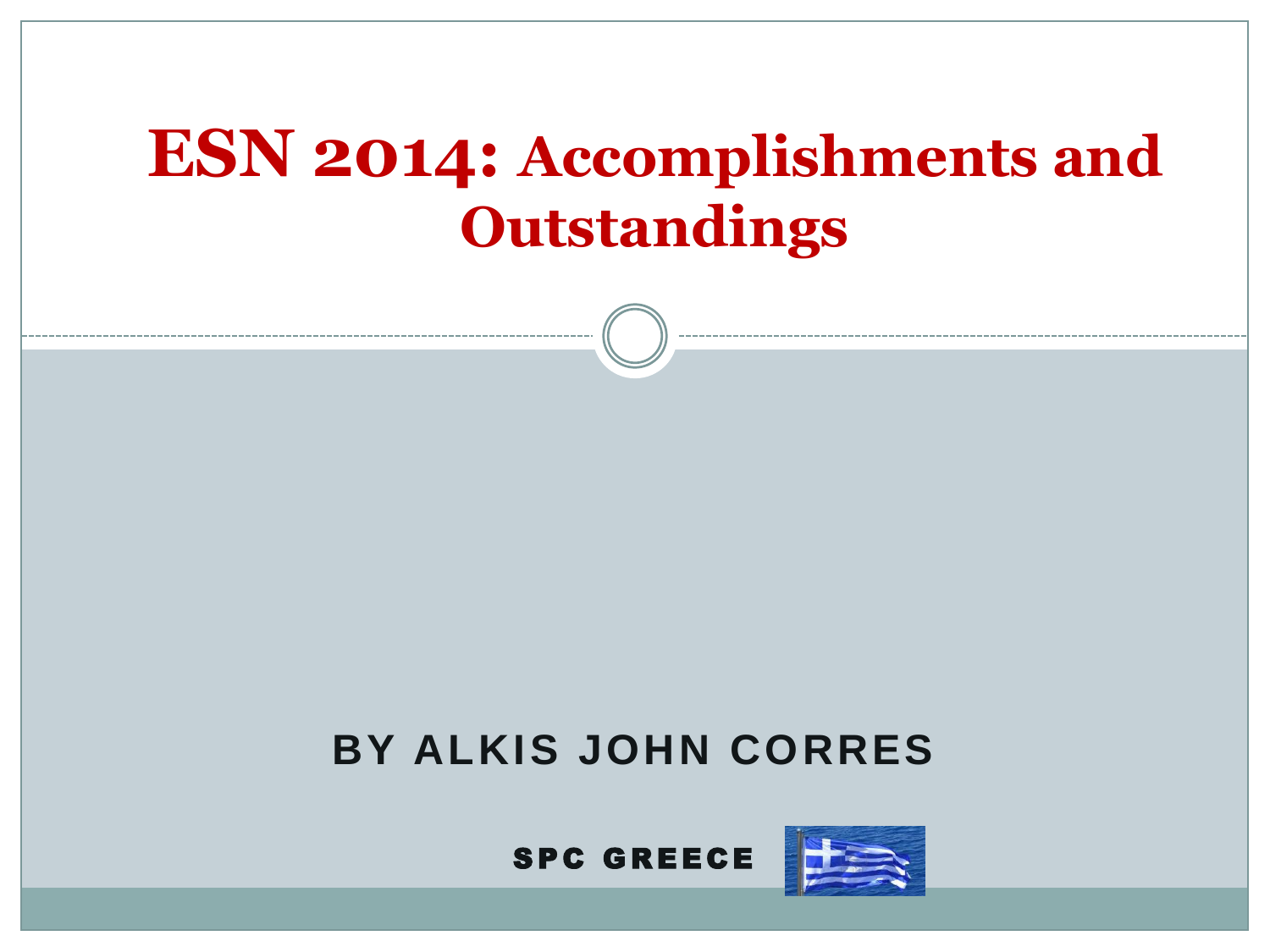## **ESN 2014: Accomplishments and Outstandings**





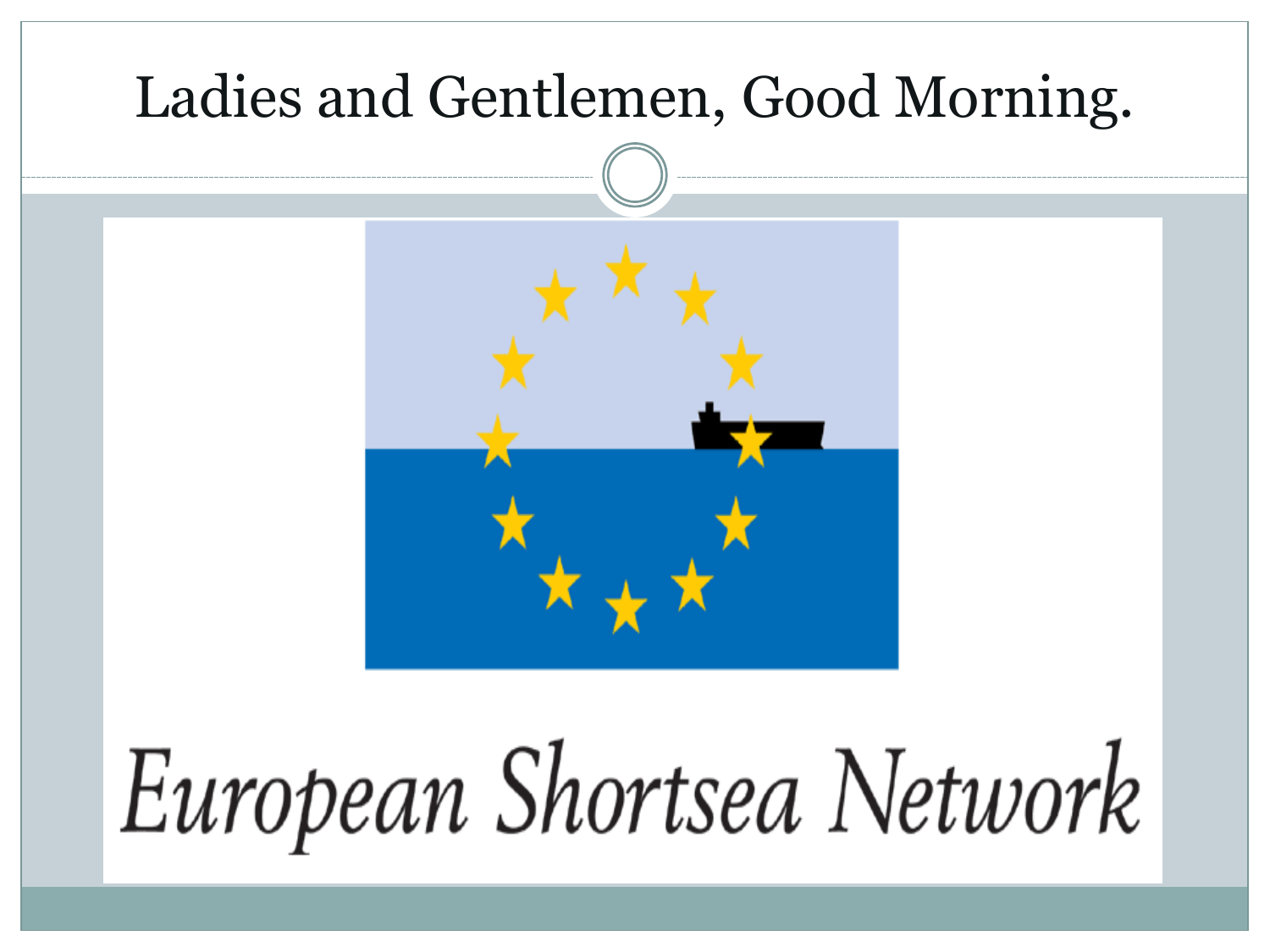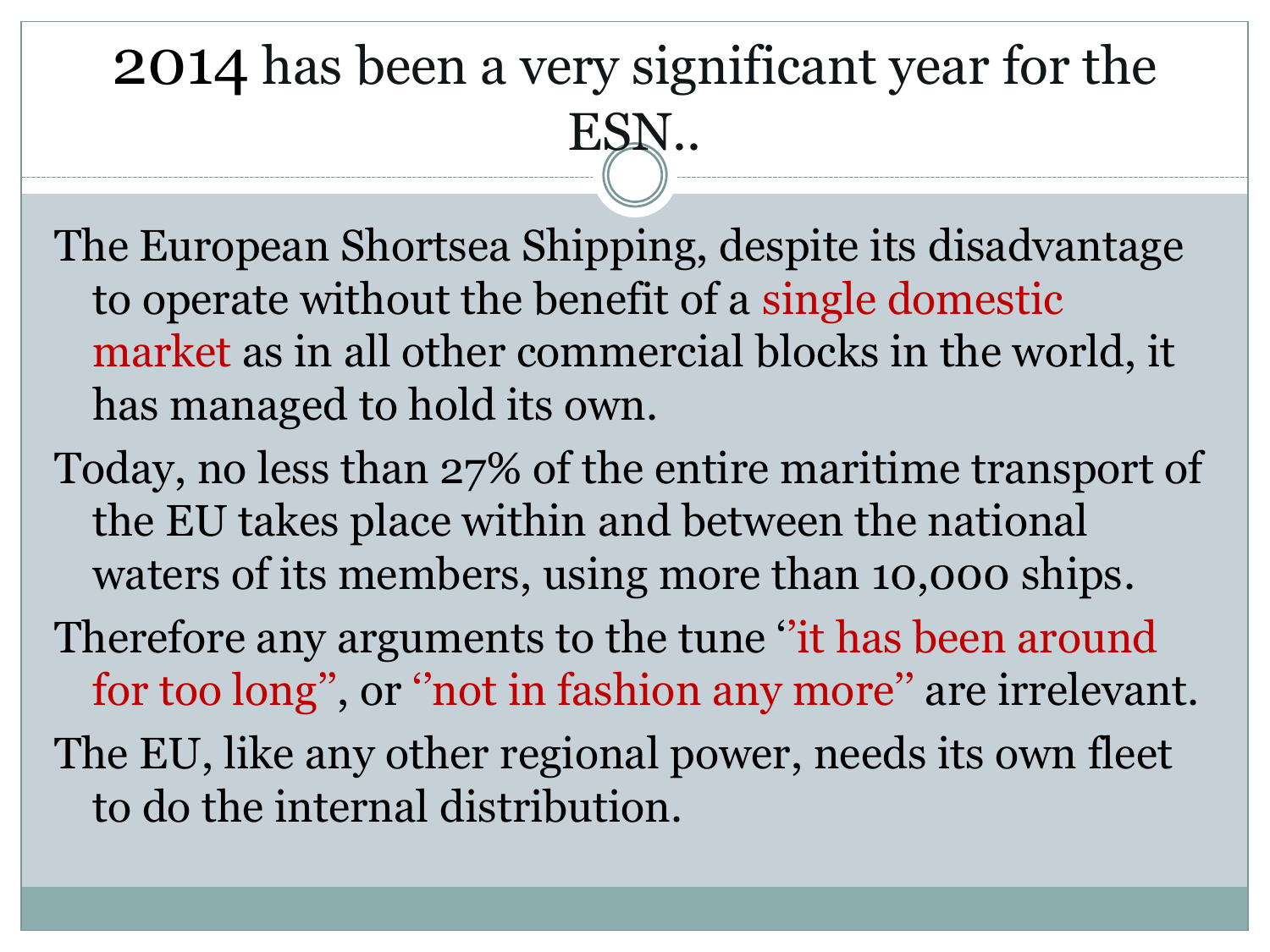# 2014 has been a very significant year for the ESN..

- The European Shortsea Shipping, despite its disadvantage to operate without the benefit of a single domestic market as in all other commercial blocks in the world, it has managed to hold its own.
- Today, no less than 27% of the entire maritime transport of the EU takes place within and between the national waters of its members, using more than 10,000 ships.
- Therefore any arguments to the tune "it has been around" for too long'', or ''not in fashion any more'' are irrelevant. The EU, like any other regional power, needs its own fleet to do the internal distribution.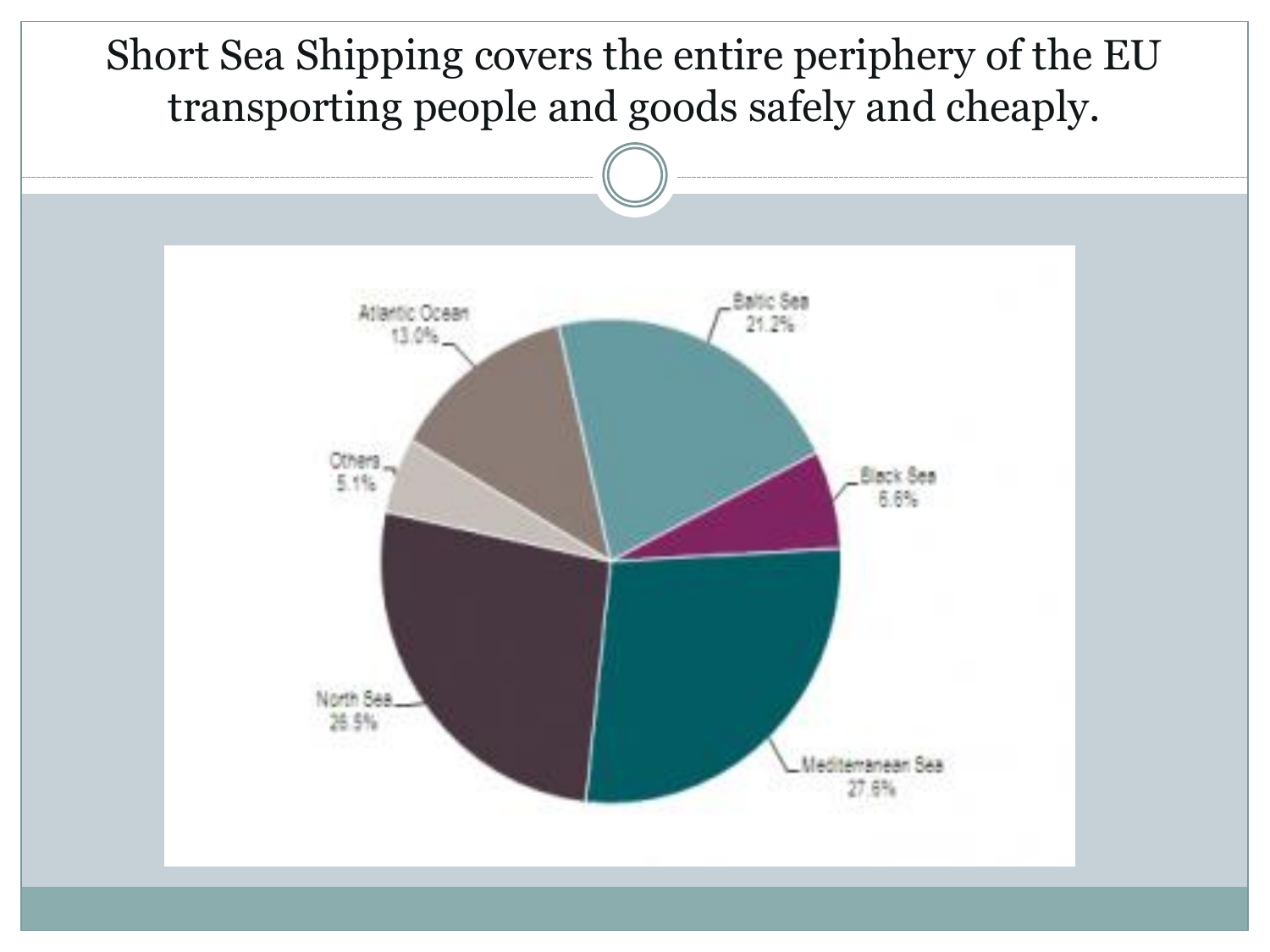Short Sea Shipping covers the entire periphery of the EU transporting people and goods safely and cheaply.

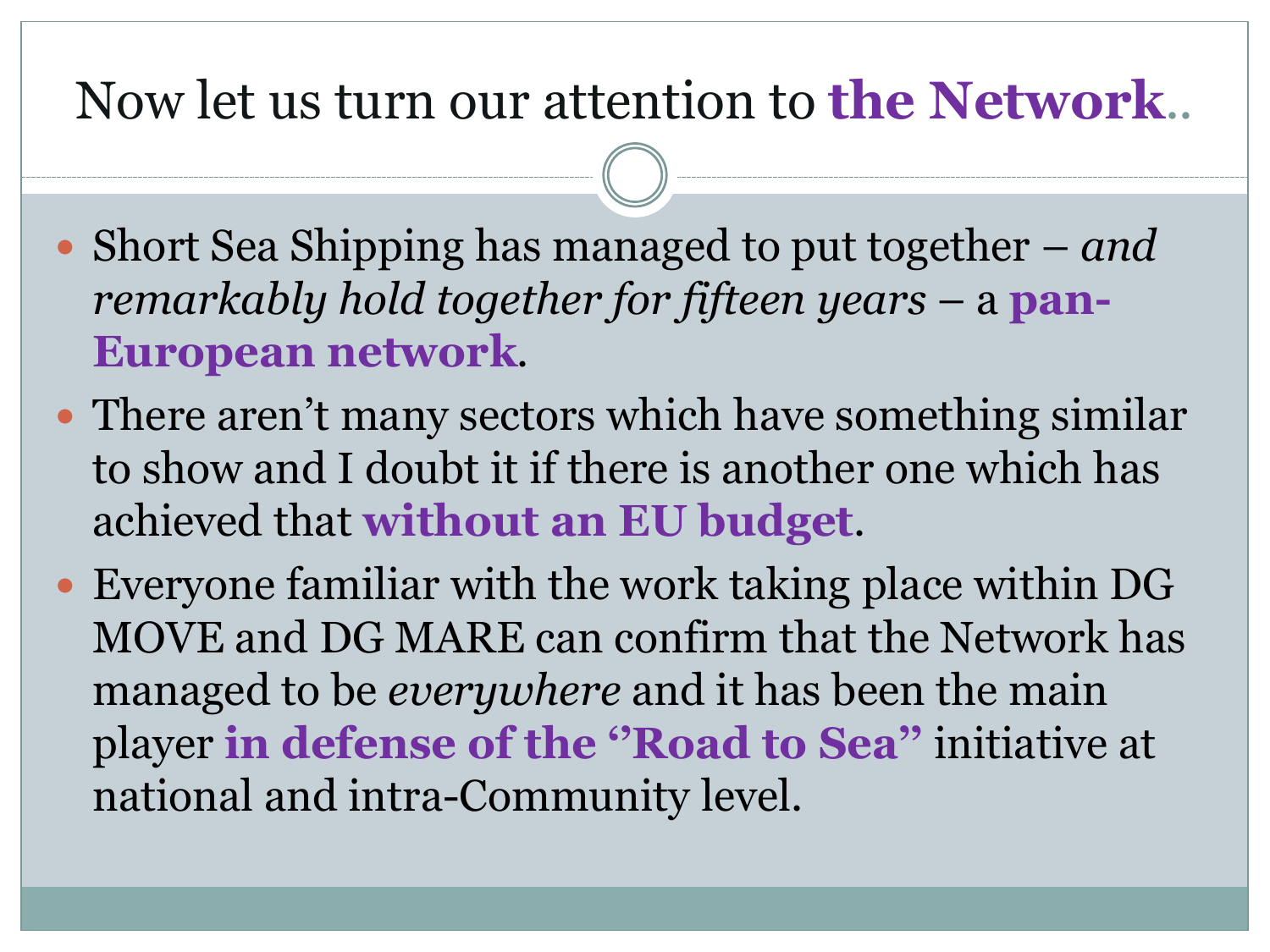#### Now let us turn our attention to **the Network**..

- Short Sea Shipping has managed to put together *and remarkably hold together for fifteen years* – a **pan-European network**.
- There aren't many sectors which have something similar to show and I doubt it if there is another one which has achieved that **without an EU budget**.
- Everyone familiar with the work taking place within DG MOVE and DG MARE can confirm that the Network has managed to be *everywhere* and it has been the main player **in defense of the ''Road to Sea''** initiative at national and intra-Community level.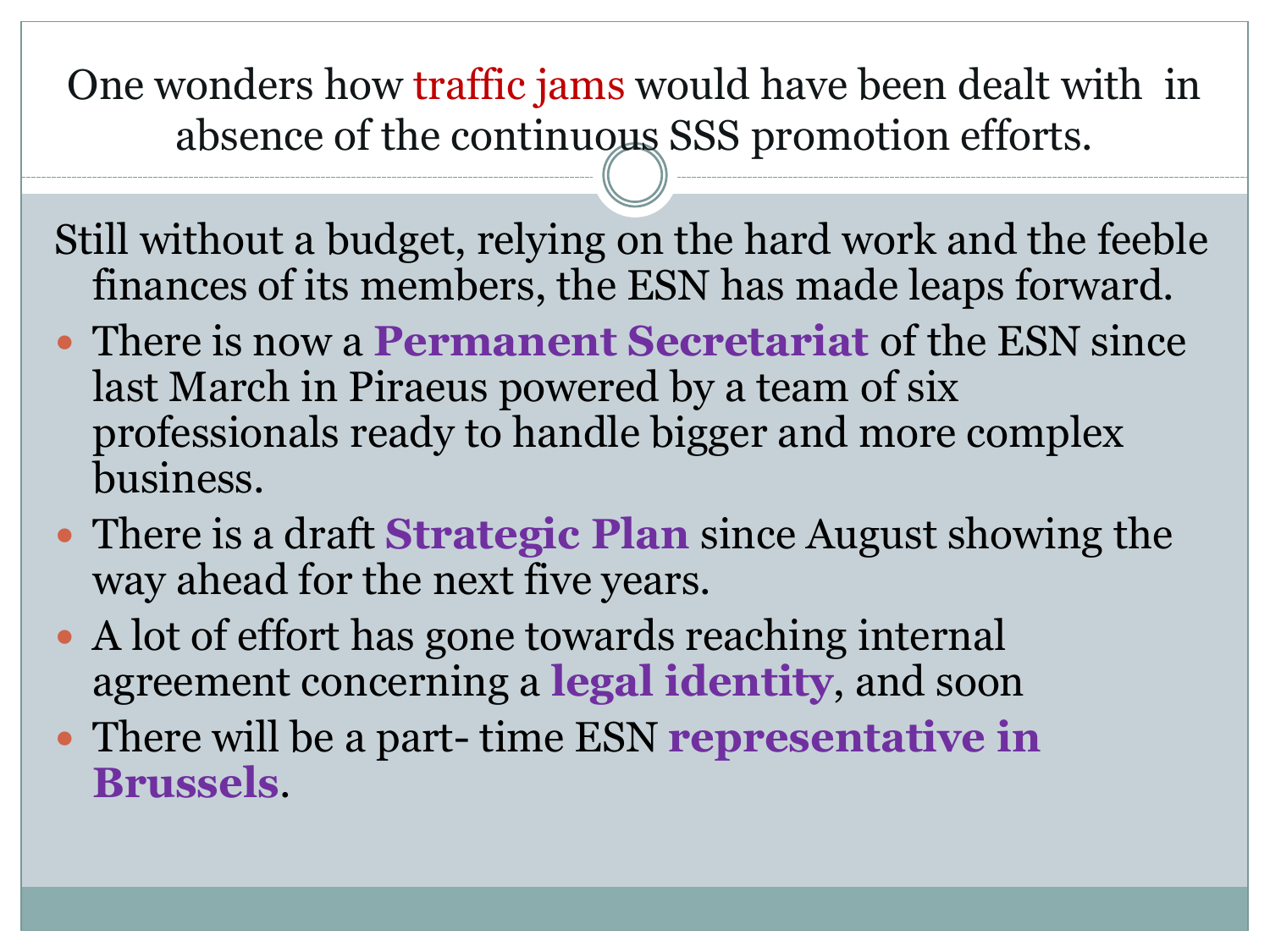One wonders how traffic jams would have been dealt with in absence of the continuous SSS promotion efforts.

Still without a budget, relying on the hard work and the feeble finances of its members, the ESN has made leaps forward.

- There is now a **Permanent Secretariat** of the ESN since last March in Piraeus powered by a team of six professionals ready to handle bigger and more complex business.
- There is a draft **Strategic Plan** since August showing the way ahead for the next five years.
- A lot of effort has gone towards reaching internal agreement concerning a **legal identity**, and soon
- There will be a part- time ESN **representative in Brussels**.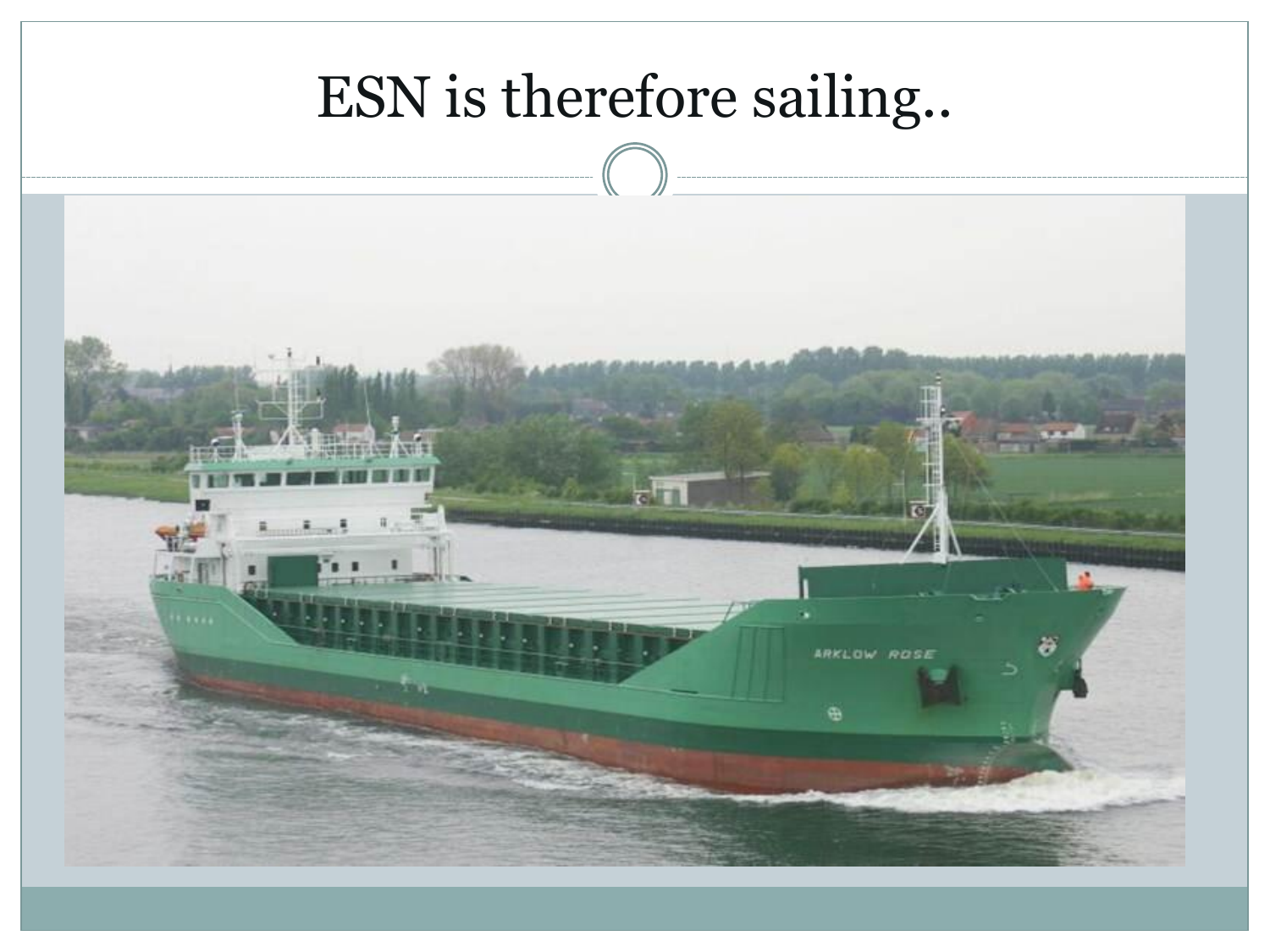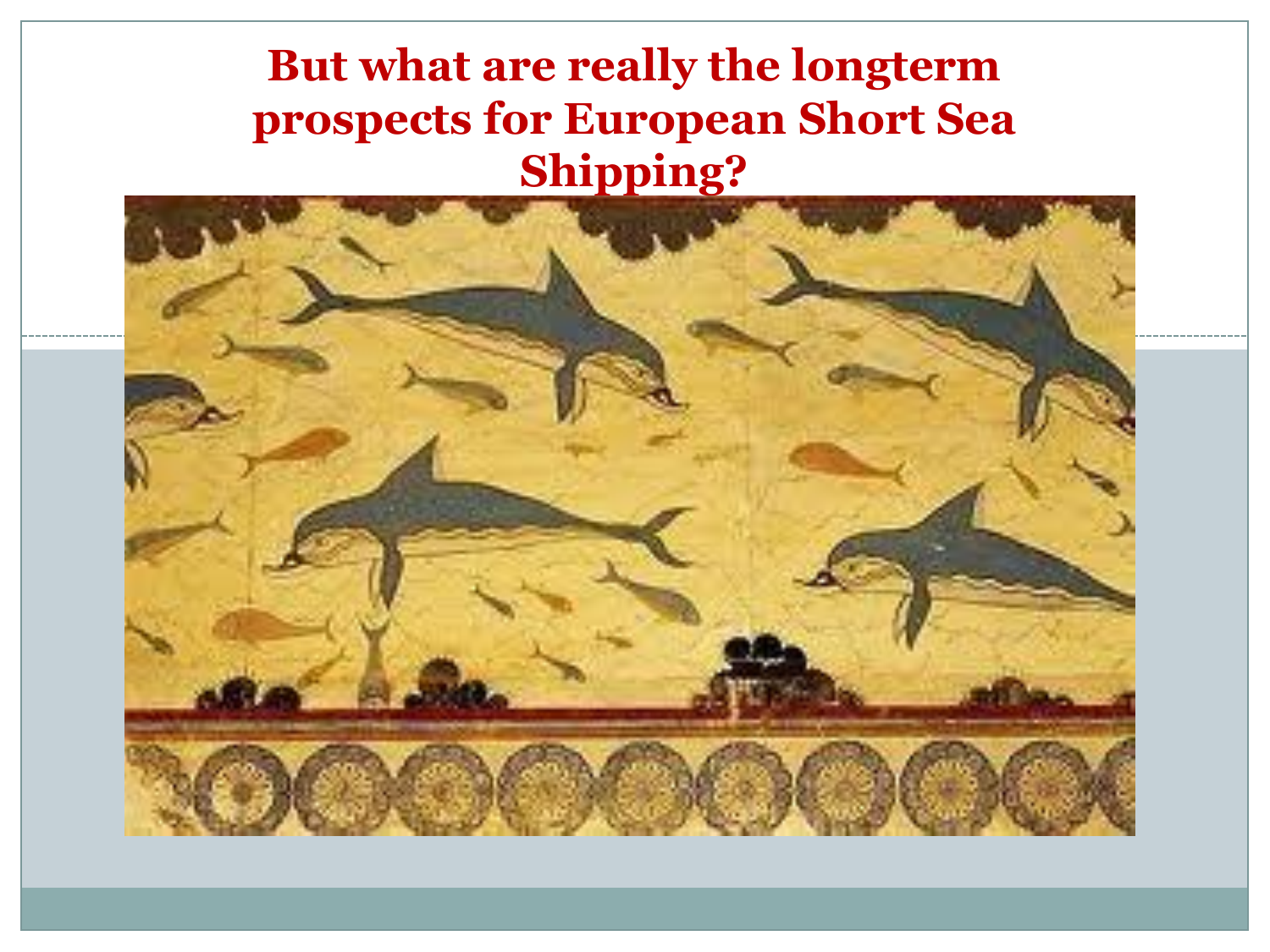#### **But what are really the longterm prospects for European Short Sea Shipping?**

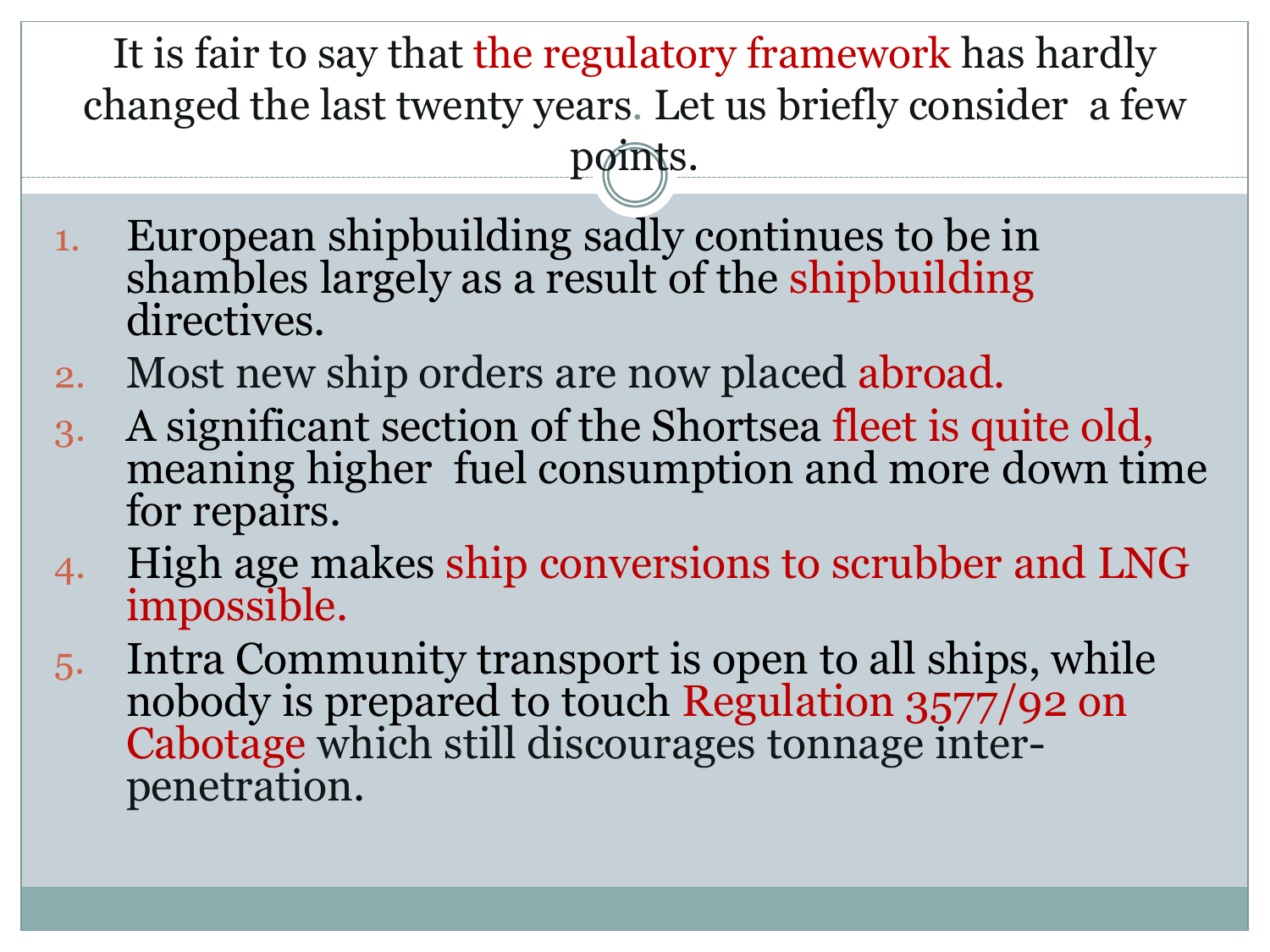It is fair to say that the regulatory framework has hardly changed the last twenty years. Let us briefly consider a few points.

- 1. European shipbuilding sadly continues to be in shambles largely as a result of the shipbuilding directives.
- 2. Most new ship orders are now placed abroad.
- 3. A significant section of the Shortsea fleet is quite old, meaning higher fuel consumption and more down time for repairs.
- 4. High age makes ship conversions to scrubber and LNG impossible.
- 5. Intra Community transport is open to all ships, while nobody is prepared to touch Regulation 3577/92 on Cabotage which still discourages tonnage interpenetration.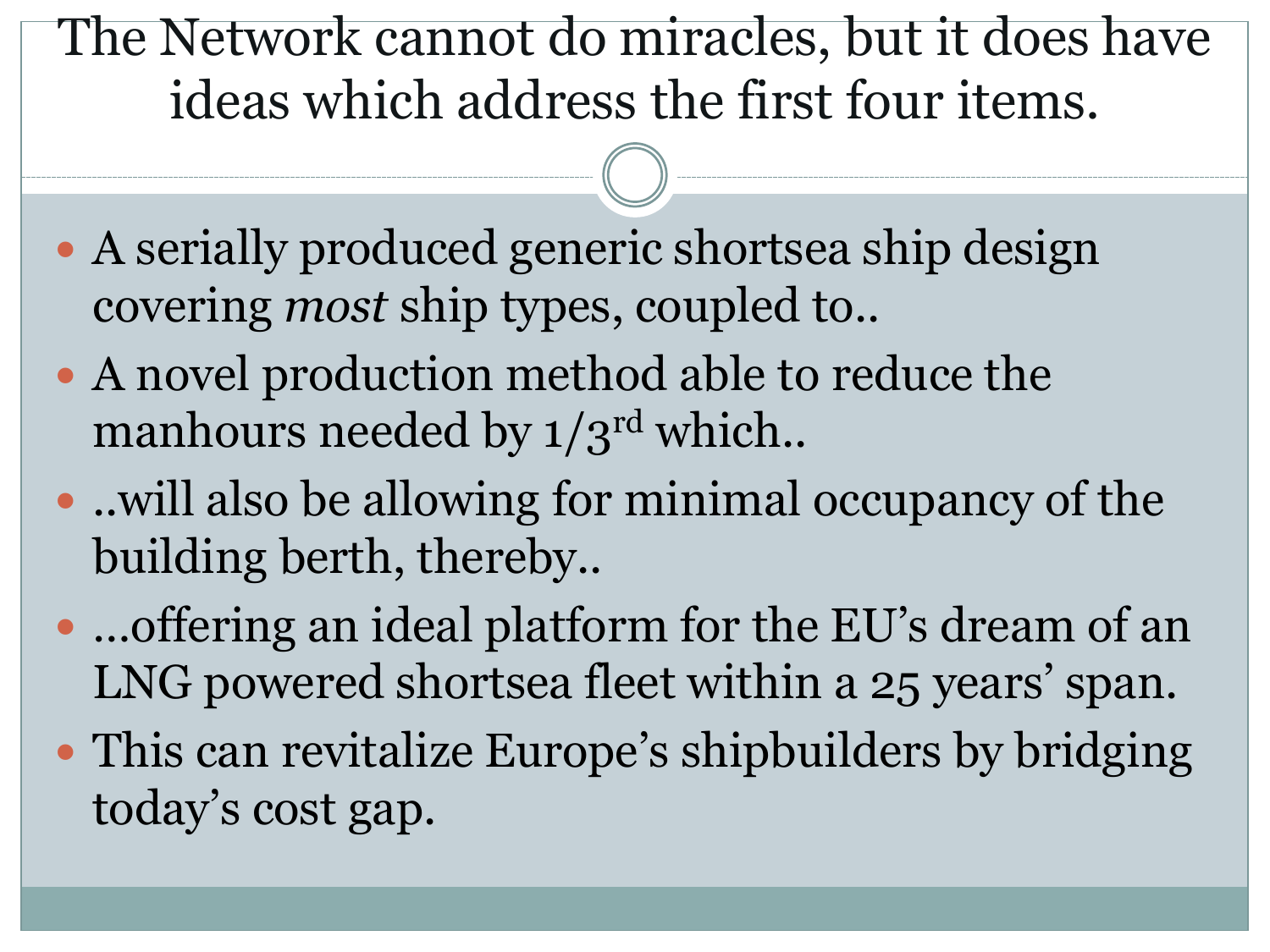The Network cannot do miracles, but it does have ideas which address the first four items.

- A serially produced generic shortsea ship design covering *most* ship types, coupled to..
- A novel production method able to reduce the manhours needed by  $1/3^{rd}$  which..
- ..will also be allowing for minimal occupancy of the building berth, thereby..
- …offering an ideal platform for the EU's dream of an LNG powered shortsea fleet within a 25 years' span.
- This can revitalize Europe's shipbuilders by bridging today's cost gap.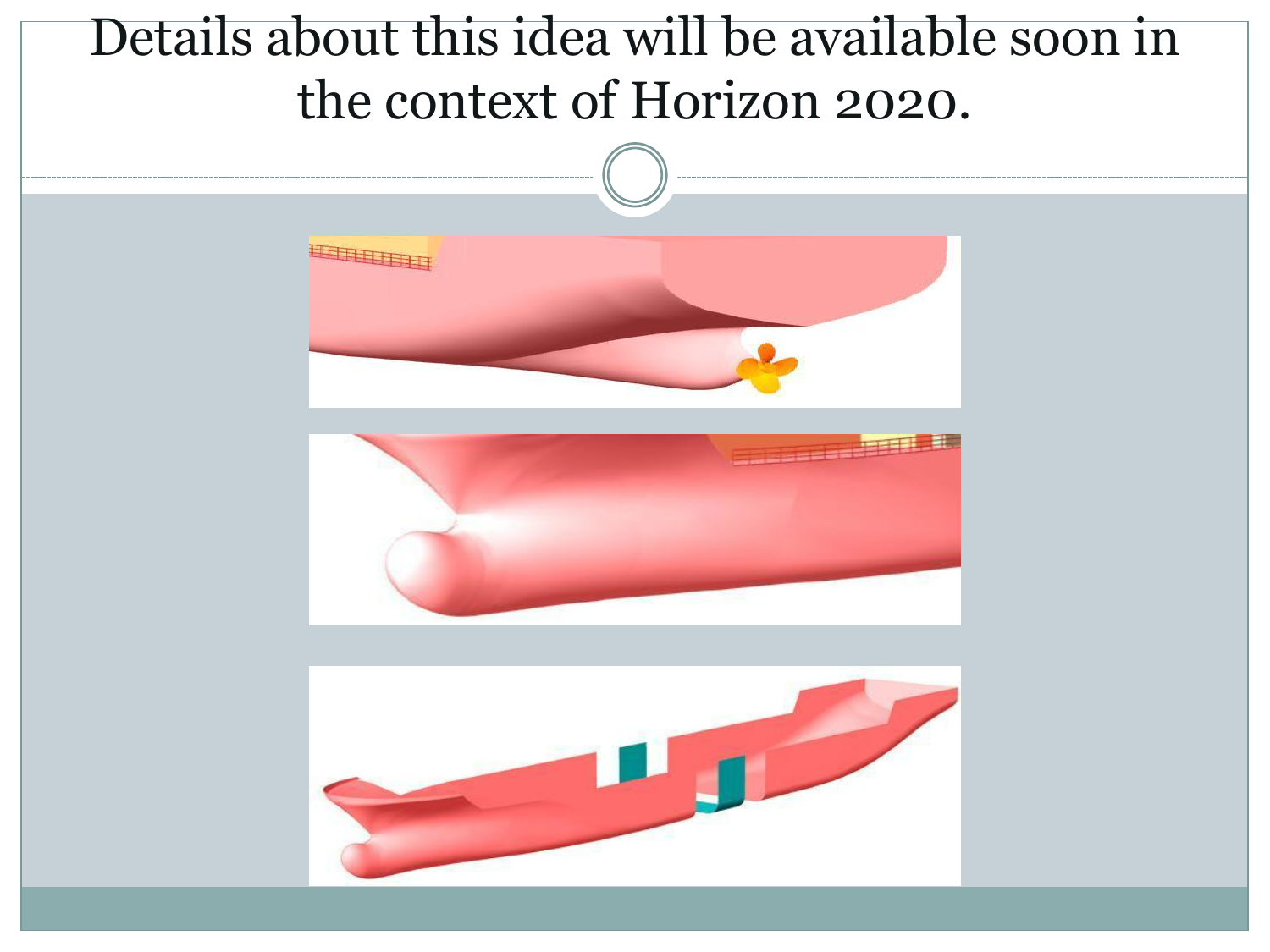#### Details about this idea will be available soon in the context of Horizon 2020.





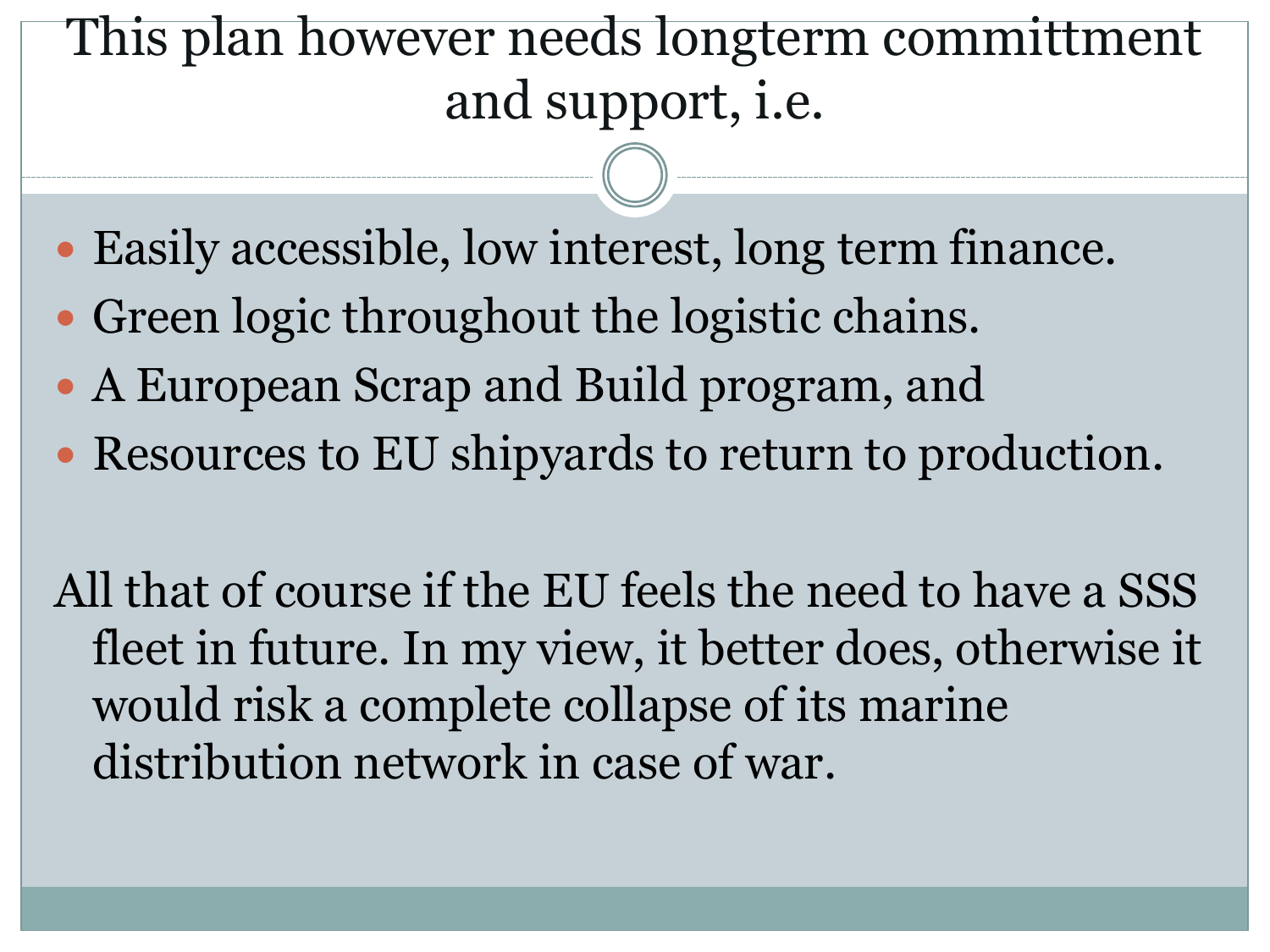## This plan however needs longterm committment and support, i.e.

- Easily accessible, low interest, long term finance.
- Green logic throughout the logistic chains.
- A European Scrap and Build program, and
- Resources to EU shipyards to return to production.

All that of course if the EU feels the need to have a SSS fleet in future. In my view, it better does, otherwise it would risk a complete collapse of its marine distribution network in case of war.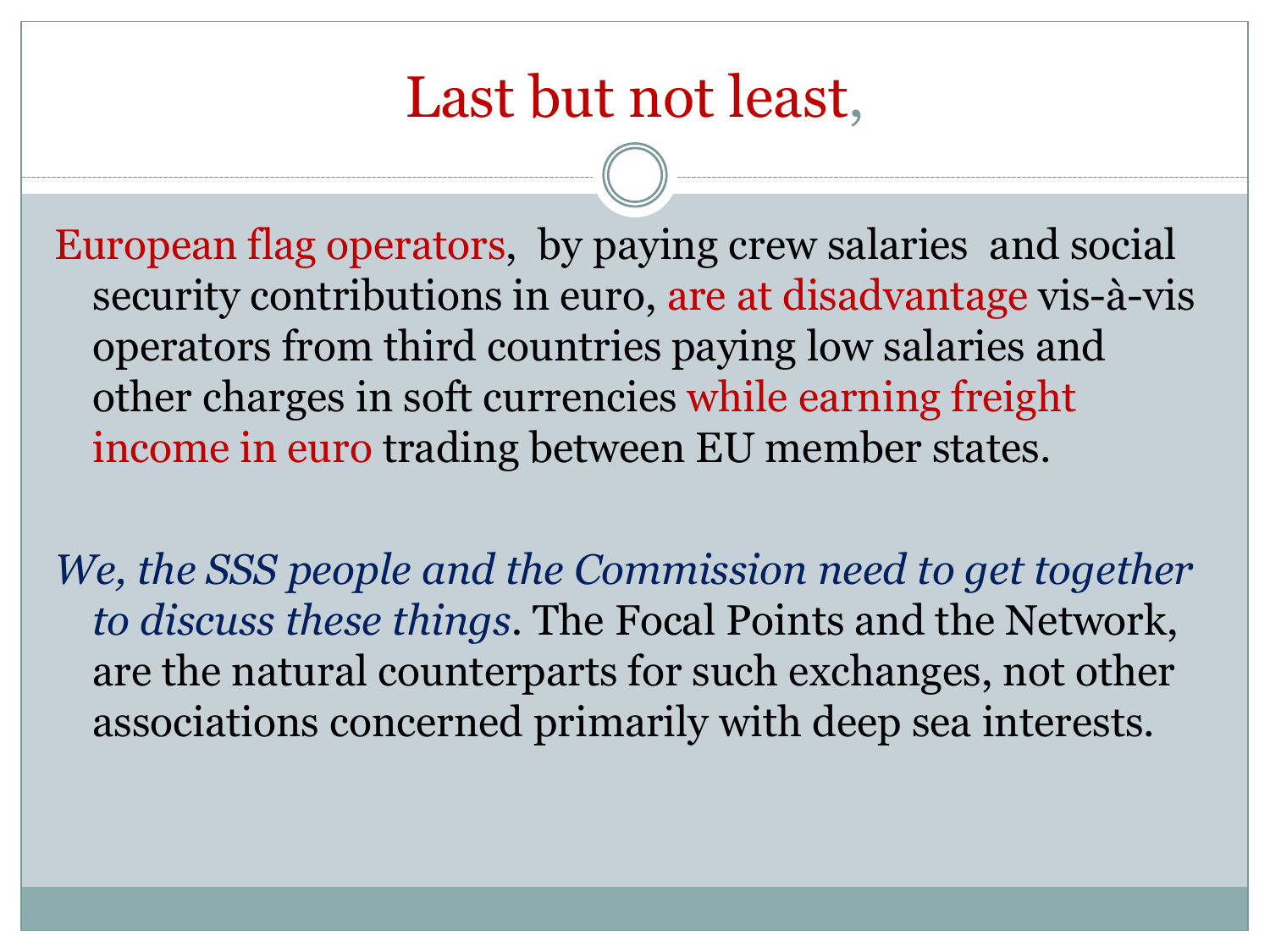### Last but not least,

European flag operators, by paying crew salaries and social security contributions in euro, are at disadvantage vis-à-vis operators from third countries paying low salaries and other charges in soft currencies while earning freight income in euro trading between EU member states.

*We, the SSS people and the Commission need to get together to discuss these things.* The Focal Points and the Network, are the natural counterparts for such exchanges, not other associations concerned primarily with deep sea interests.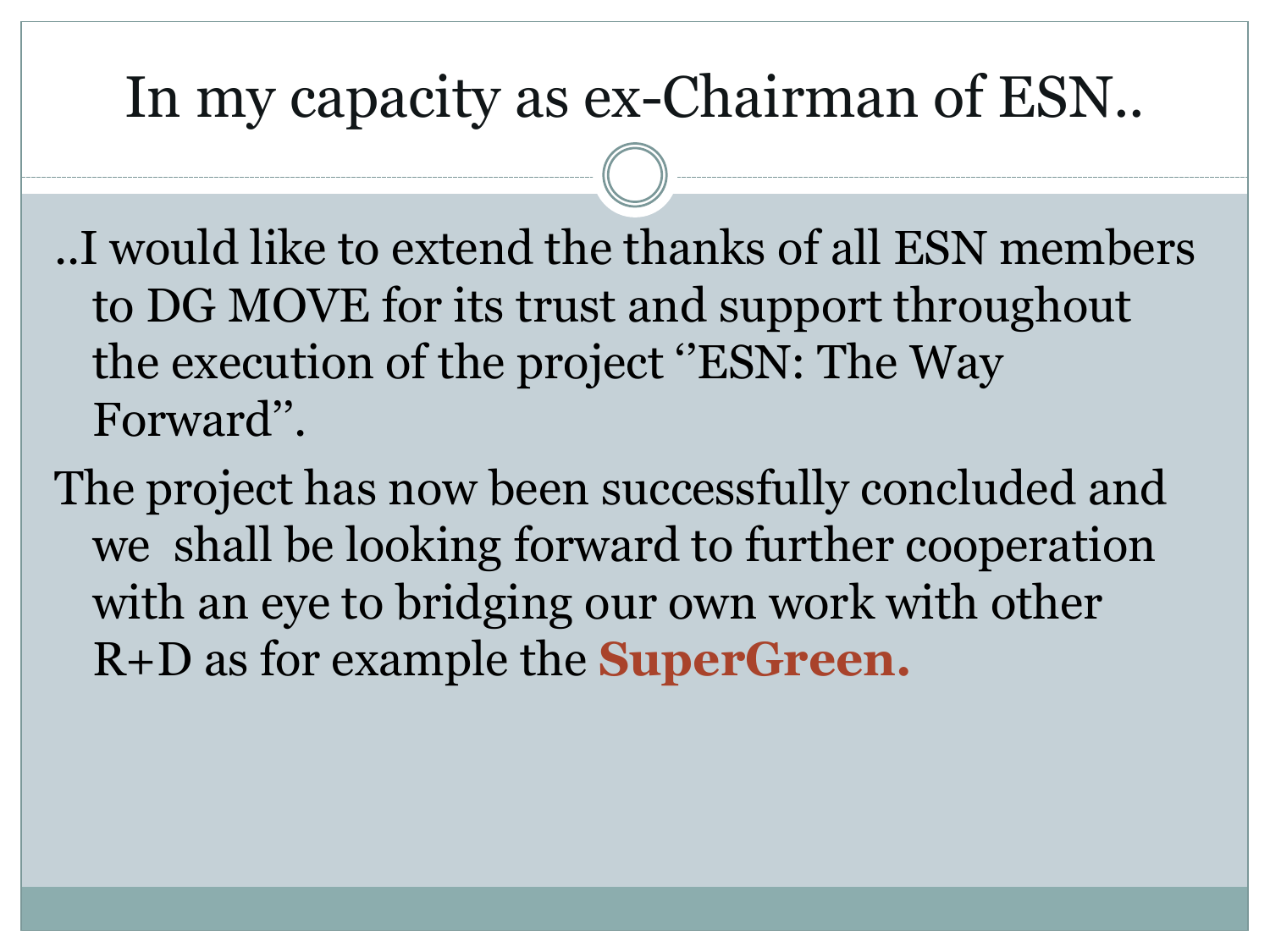#### In my capacity as ex-Chairman of ESN..

..I would like to extend the thanks of all ESN members to DG MOVE for its trust and support throughout the execution of the project ''ESN: The Way Forward''.

The project has now been successfully concluded and we shall be looking forward to further cooperation with an eye to bridging our own work with other R+D as for example the **SuperGreen.**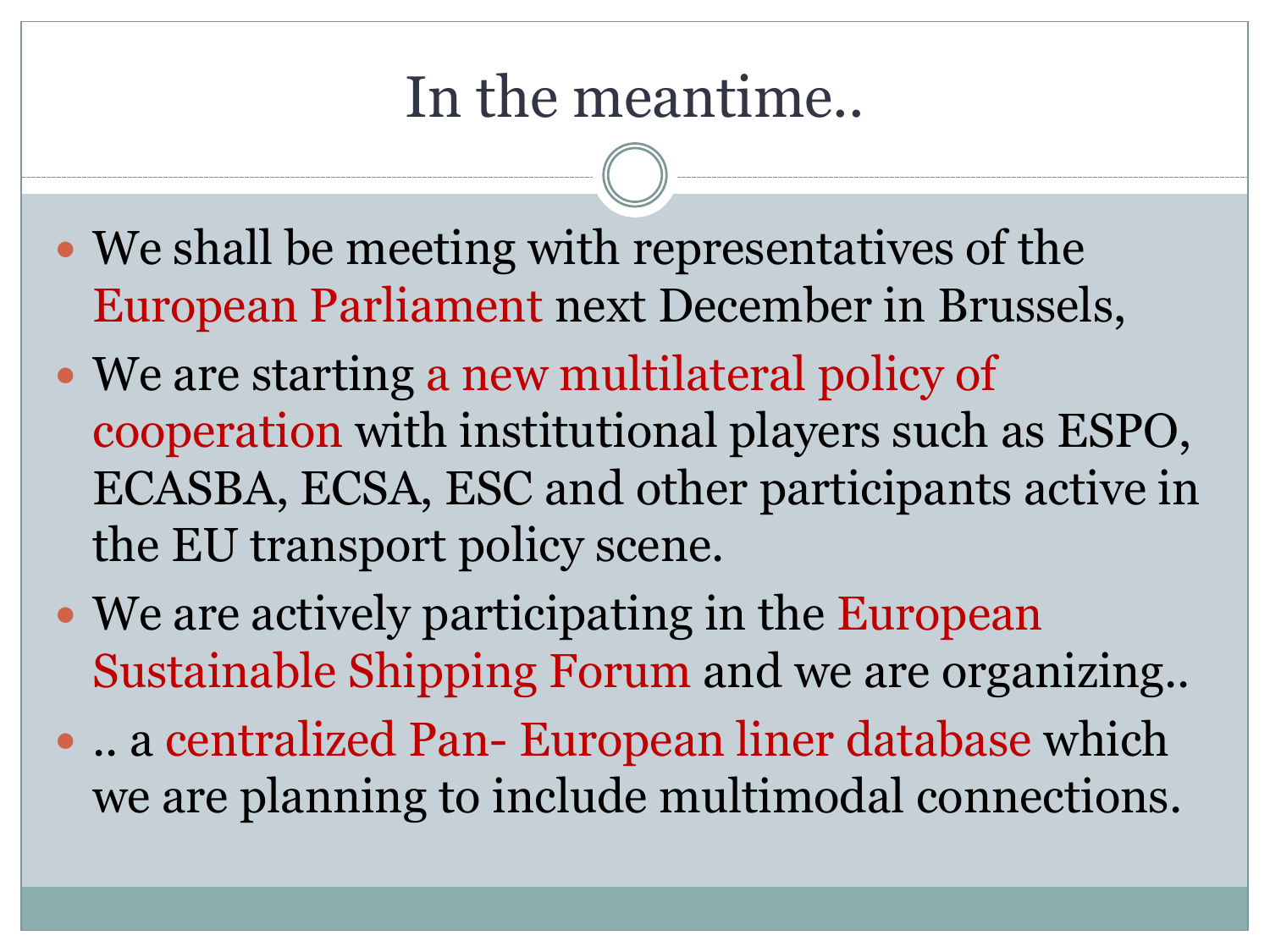## In the meantime..

- We shall be meeting with representatives of the European Parliament next December in Brussels,
- We are starting a new multilateral policy of cooperation with institutional players such as ESPO, ECASBA, ECSA, ESC and other participants active in the EU transport policy scene.
- We are actively participating in the European Sustainable Shipping Forum and we are organizing..
- .. a centralized Pan- European liner database which we are planning to include multimodal connections.